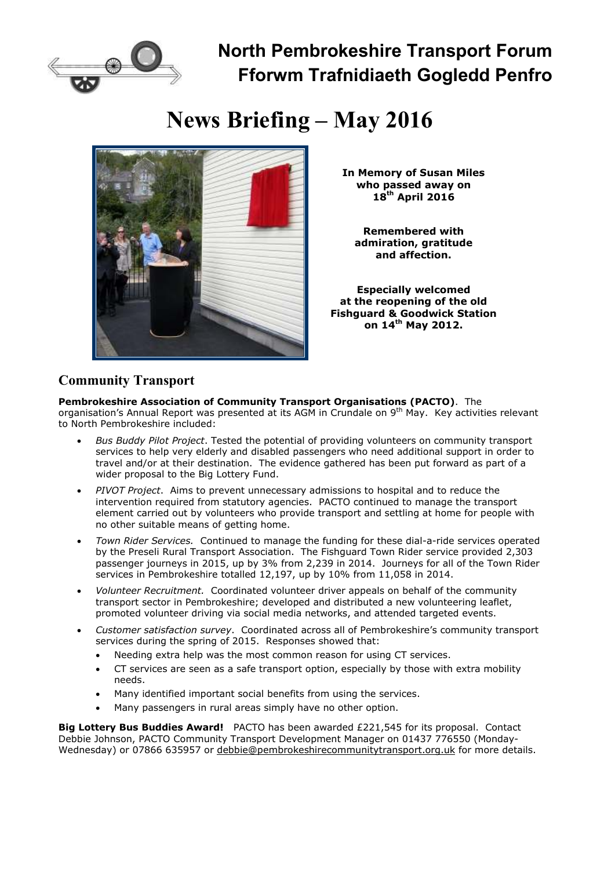

**North Pembrokeshire Transport Forum Fforwm Trafnidiaeth Gogledd Penfro**

# **News Briefing – May 2016**



**In Memory of Susan Miles who passed away on 18th April 2016**

**Remembered with admiration, gratitude and affection.**

**Especially welcomed at the reopening of the old Fishguard & Goodwick Station on 14th May 2012.**

### **Community Transport**

**Pembrokeshire Association of Community Transport Organisations (PACTO)**. The organisation's Annual Report was presented at its AGM in Crundale on 9<sup>th</sup> May. Key activities relevant to North Pembrokeshire included:

- *Bus Buddy Pilot Project*. Tested the potential of providing volunteers on community transport services to help very elderly and disabled passengers who need additional support in order to travel and/or at their destination. The evidence gathered has been put forward as part of a wider proposal to the Big Lottery Fund.
- *PIVOT Project*. Aims to prevent unnecessary admissions to hospital and to reduce the intervention required from statutory agencies. PACTO continued to manage the transport element carried out by volunteers who provide transport and settling at home for people with no other suitable means of getting home.
- *Town Rider Services.* Continued to manage the funding for these dial-a-ride services operated by the Preseli Rural Transport Association. The Fishguard Town Rider service provided 2,303 passenger journeys in 2015, up by 3% from 2,239 in 2014. Journeys for all of the Town Rider services in Pembrokeshire totalled 12,197, up by 10% from 11,058 in 2014.
- *Volunteer Recruitment.* Coordinated volunteer driver appeals on behalf of the community transport sector in Pembrokeshire; developed and distributed a new volunteering leaflet, promoted volunteer driving via social media networks, and attended targeted events.
- *Customer satisfaction survey*. Coordinated across all of Pembrokeshire's community transport services during the spring of 2015. Responses showed that:
	- Needing extra help was the most common reason for using CT services.
	- CT services are seen as a safe transport option, especially by those with extra mobility needs.
	- Many identified important social benefits from using the services.
	- Many passengers in rural areas simply have no other option.

**Big Lottery Bus Buddies Award!** PACTO has been awarded £221,545 for its proposal. Contact Debbie Johnson, PACTO Community Transport Development Manager on 01437 776550 (Monday-Wednesday) or 07866 635957 or debbie@pembrokeshirecommunitytransport.org.uk for more details.